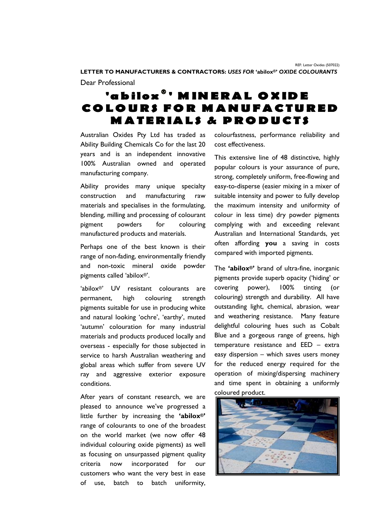**LETTER TO MANUFACTURERS & CONTRACTORS:** *USES FOR* **'abilox®'** *OXIDE COLOURANTS* Dear Professional

## 'abilox<sup>®</sup>' MINERAL OXIDE COLOURS FOR MANUFACTURED **MATERIALS & PRODUCTS**

Australian Oxides Pty Ltd has traded as Ability Building Chemicals Co for the last 20 years and is an independent innovative 100% Australian owned and operated manufacturing company.

Ability provides many unique specialty construction and manufacturing raw materials and specialises in the formulating, blending, milling and processing of colourant pigment powders for colouring manufactured products and materials.

Perhaps one of the best known is their range of non-fading, environmentally friendly and non-toxic mineral oxide powder pigments called 'abilox®'.

'abilox®' UV resistant colourants are permanent, high colouring strength pigments suitable for use in producing white and natural looking 'ochre', 'earthy', muted 'autumn' colouration for many industrial materials and products produced locally and overseas - especially for those subjected in service to harsh Australian weathering and global areas which suffer from severe UV ray and aggressive exterior exposure conditions.

After years of constant research, we are pleased to announce we've progressed a little further by increasing the **'abilox®'** range of colourants to one of the broadest on the world market (we now offer 48 individual colouring oxide pigments) as well as focusing on unsurpassed pigment quality criteria now incorporated for our customers who want the very best in ease of use, batch to batch uniformity,

colourfastness, performance reliability and cost effectiveness.

This extensive line of 48 distinctive, highly popular colours is your assurance of pure, strong, completely uniform, free-flowing and easy-to-disperse (easier mixing in a mixer of suitable intensity and power to fully develop the maximum intensity and uniformity of colour in less time) dry powder pigments complying with and exceeding relevant Australian and International Standards, yet often affording **you** a saving in costs compared with imported pigments.

The **'abilox®'** brand of ultra-fine, inorganic pigments provide superb opacity ('hiding' or covering power), 100% tinting (or colouring) strength and durability. All have outstanding light, chemical, abrasion, wear and weathering resistance. Many feature delightful colouring hues such as Cobalt Blue and a gorgeous range of greens, high temperature resistance and EED – extra easy dispersion – which saves users money for the reduced energy required for the operation of mixing/dispersing machinery and time spent in obtaining a uniformly coloured product.